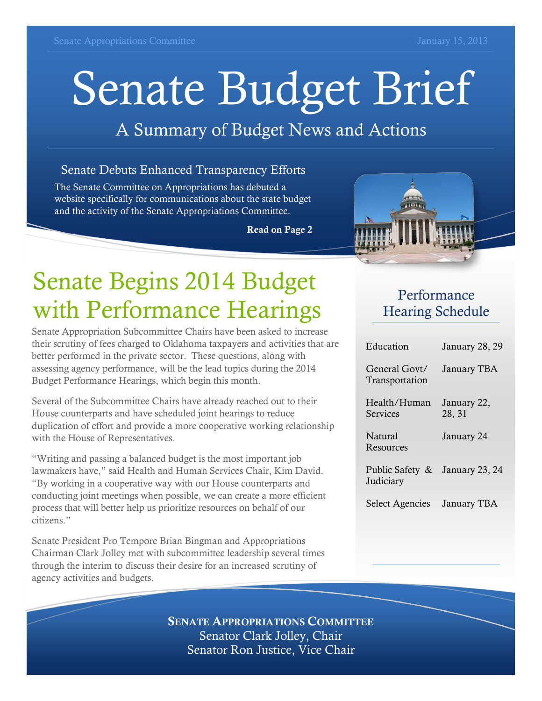# Senate Budget Brief

### A Summary of Budget News and Actions

#### Senate Debuts Enhanced Transparency Efforts

The Senate Committee on Appropriations has debuted a website specifically for communications about the state budget and the activity of the Senate Appropriations Committee.

**Read on Page 2**



# Senate Begins 2014 Budget with Performance Hearings

Senate Appropriation Subcommittee Chairs have been asked to increase their scrutiny of fees charged to Oklahoma taxpayers and activities that are better performed in the private sector. These questions, along with assessing agency performance, will be the lead topics during the 2014 Budget Performance Hearings, which begin this month.

Several of the Subcommittee Chairs have already reached out to their House counterparts and have scheduled joint hearings to reduce duplication of effort and provide a more cooperative working relationship with the House of Representatives.

"Writing and passing a balanced budget is the most important job lawmakers have," said Health and Human Services Chair, Kim David. "By working in a cooperative way with our House counterparts and conducting joint meetings when possible, we can create a more efficient process that will better help us prioritize resources on behalf of our citizens."

Senate President Pro Tempore Brian Bingman and Appropriations Chairman Clark Jolley met with subcommittee leadership several times through the interim to discuss their desire for an increased scrutiny of agency activities and budgets.

#### Performance Hearing Schedule

| Education                       | January 28, 29        |
|---------------------------------|-----------------------|
| General Govt/<br>Transportation | <b>January TBA</b>    |
| Health/Human<br>Services        | January 22,<br>28, 31 |
| <b>Natural</b><br>Resources     | January 24            |
| Public Safety &<br>Judiciary    | January 23, 24        |
| <b>Select Agencies</b>          | January TBA           |

**SENATE APPROPRIATIONS COMMITTEE** Senator Clark Jolley, Chair Senator Ron Justice, Vice Chair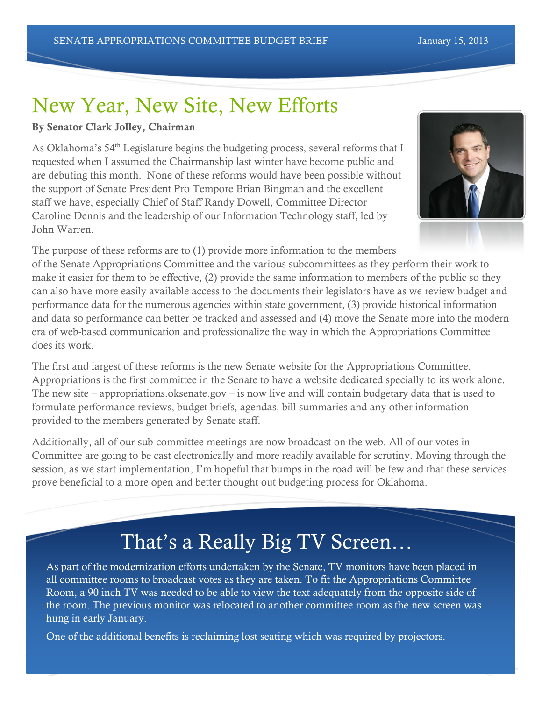# New Year, New Site, New Efforts

#### **By Senator Clark Jolley, Chairman**

As Oklahoma's  $54<sup>th</sup>$  Legislature begins the budgeting process, several reforms that I requested when I assumed the Chairmanship last winter have become public and are debuting this month. None of these reforms would have been possible without the support of Senate President Pro Tempore Brian Bingman and the excellent staff we have, especially Chief of Staff Randy Dowell, Committee Director Caroline Dennis and the leadership of our Information Technology staff, led by John Warren.



The purpose of these reforms are to (1) provide more information to the members

of the Senate Appropriations Committee and the various subcommittees as they perform their work to make it easier for them to be effective, (2) provide the same information to members of the public so they can also have more easily available access to the documents their legislators have as we review budget and performance data for the numerous agencies within state government, (3) provide historical information and data so performance can better be tracked and assessed and (4) move the Senate more into the modern era of web-based communication and professionalize the way in which the Appropriations Committee does its work.

The first and largest of these reforms is the new Senate website for the Appropriations Committee. Appropriations is the first committee in the Senate to have a website dedicated specially to its work alone. The new site – appropriations.oksenate.gov – is now live and will contain budgetary data that is used to formulate performance reviews, budget briefs, agendas, bill summaries and any other information provided to the members generated by Senate staff.

Additionally, all of our sub-committee meetings are now broadcast on the web. All of our votes in Committee are going to be cast electronically and more readily available for scrutiny. Moving through the session, as we start implementation, I'm hopeful that bumps in the road will be few and that these services prove beneficial to a more open and better thought out budgeting process for Oklahoma.

## That's a Really Big TV Screen…

As part of the modernization efforts undertaken by the Senate, TV monitors have been placed in all committee rooms to broadcast votes as they are taken. To fit the Appropriations Committee Room, a 90 inch TV was needed to be able to view the text adequately from the opposite side of the room. The previous monitor was relocated to another committee room as the new screen was hung in early January.

One of the additional benefits is reclaiming lost seating which was required by projectors.